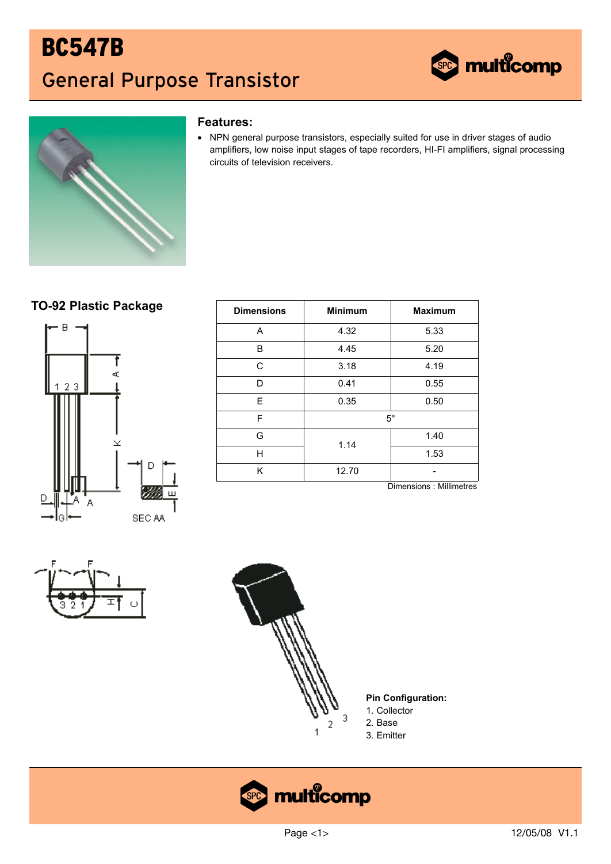# BC547B General Purpose Transistor





#### **Features:**

• NPN general purpose transistors, especially suited for use in driver stages of audio amplifiers, low noise input stages of tape recorders, HI-FI amplifiers, signal processing circuits of television receivers.

#### **TO-92 Plastic Package**



| <b>Dimensions</b> | <b>Minimum</b> | <b>Maximum</b> |  |  |
|-------------------|----------------|----------------|--|--|
| A                 | 4.32<br>5.33   |                |  |  |
| B                 | 4.45           | 5.20           |  |  |
| C                 | 3.18           | 4.19           |  |  |
| D                 | 0.41           | 0.55           |  |  |
| E                 | 0.35<br>0.50   |                |  |  |
| F                 | $5^{\circ}$    |                |  |  |
| G                 | 1.14           | 1.40           |  |  |
| н                 |                | 1.53           |  |  |
| Κ                 | 12.70          |                |  |  |

Dimensions : Millimetres





- **Pin Configuration:**
- 1. Collector
- 2. Base
- 3. Emitter

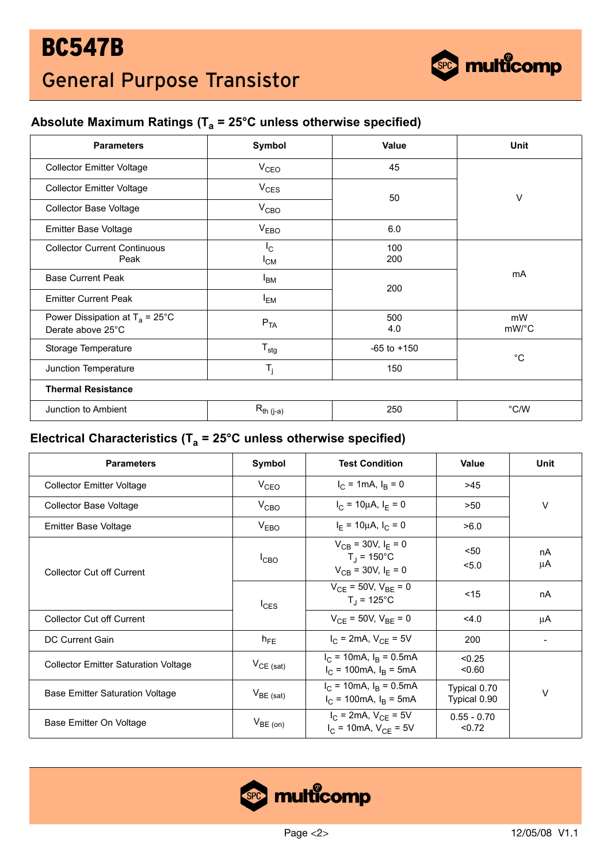## Absolute Maximum Ratings (T<sub>a</sub> = 25°C unless otherwise specified)

| <b>Parameters</b>                                              | Symbol                  | <b>Value</b>    | <b>Unit</b> |  |
|----------------------------------------------------------------|-------------------------|-----------------|-------------|--|
| <b>Collector Emitter Voltage</b>                               | $V_{CEO}$               | 45              |             |  |
| <b>Collector Emitter Voltage</b>                               | $V_{CES}$               | 50              | V           |  |
| Collector Base Voltage                                         | V <sub>CBO</sub>        |                 |             |  |
| Emitter Base Voltage                                           | V <sub>EBO</sub>        | 6.0             |             |  |
| <b>Collector Current Continuous</b><br>Peak                    | $I_{\rm C}$<br>$I_{CM}$ | 100<br>200      |             |  |
| <b>Base Current Peak</b>                                       | $I_{BM}$                | 200             | mA          |  |
| <b>Emitter Current Peak</b>                                    | $I_{EM}$                |                 |             |  |
| Power Dissipation at $T_a = 25^{\circ}$ C<br>Derate above 25°C | $P_{TA}$                | 500<br>4.0      | mW<br>mW/°C |  |
| Storage Temperature                                            | $T_{\text{stg}}$        | $-65$ to $+150$ | $^{\circ}C$ |  |
| Junction Temperature                                           | $T_j$                   | 150             |             |  |
| <b>Thermal Resistance</b>                                      |                         |                 |             |  |
| Junction to Ambient                                            | $R_{th (j-a)}$          | 250             | °C/W        |  |

## Electrical Characteristics (T<sub>a</sub> = 25°C unless otherwise specified)

| <b>Parameters</b>                           | Symbol           | <b>Test Condition</b>                                                          | <b>Value</b>                 | <b>Unit</b> |
|---------------------------------------------|------------------|--------------------------------------------------------------------------------|------------------------------|-------------|
| <b>Collector Emitter Voltage</b>            | V <sub>CEO</sub> | $I_C = 1 \text{mA}, I_B = 0$                                                   | >45                          |             |
| Collector Base Voltage                      | $V_{CBO}$        | $I_C = 10 \mu A$ , $I_F = 0$                                                   | >50                          | $\vee$      |
| Emitter Base Voltage                        | $V_{EBO}$        | $I_F = 10 \mu A$ , $I_C = 0$                                                   | >6.0                         |             |
| <b>Collector Cut off Current</b>            | $I_{CBO}$        | $V_{CB}$ = 30V, $I_F$ = 0<br>$T_1 = 150^{\circ}C$<br>$V_{CB}$ = 30V, $I_F$ = 0 | < 50<br>< 5.0                | nA<br>μA    |
|                                             | $I_{CES}$        | $V_{CF}$ = 50V, $V_{BF}$ = 0<br>$T_1 = 125^{\circ}C$                           | $<$ 15                       | nA          |
| <b>Collector Cut off Current</b>            |                  | $V_{CF}$ = 50V, $V_{BF}$ = 0                                                   | 4.0                          | μA          |
| DC Current Gain                             | $h_{FE}$         | $I_{C}$ = 2mA, $V_{CF}$ = 5V                                                   | 200                          |             |
| <b>Collector Emitter Saturation Voltage</b> | $V_{CE (sat)}$   | $I_C$ = 10mA, $I_B$ = 0.5mA<br>$I_C = 100 \text{mA}, I_B = 5 \text{mA}$        | < 0.25<br>< 0.60             |             |
| Base Emitter Saturation Voltage             | $V_{BE (sat)}$   | $I_C = 10 \text{mA}, I_B = 0.5 \text{mA}$<br>$I_C$ = 100mA, $I_B$ = 5mA        | Typical 0.70<br>Typical 0.90 | $\vee$      |
| Base Emitter On Voltage                     | $V_{BE (on)}$    | $I_C = 2mA$ , $V_{CF} = 5V$<br>$I_C = 10 \text{mA}, V_{CE} = 5V$               | $0.55 - 0.70$<br>< 0.72      |             |

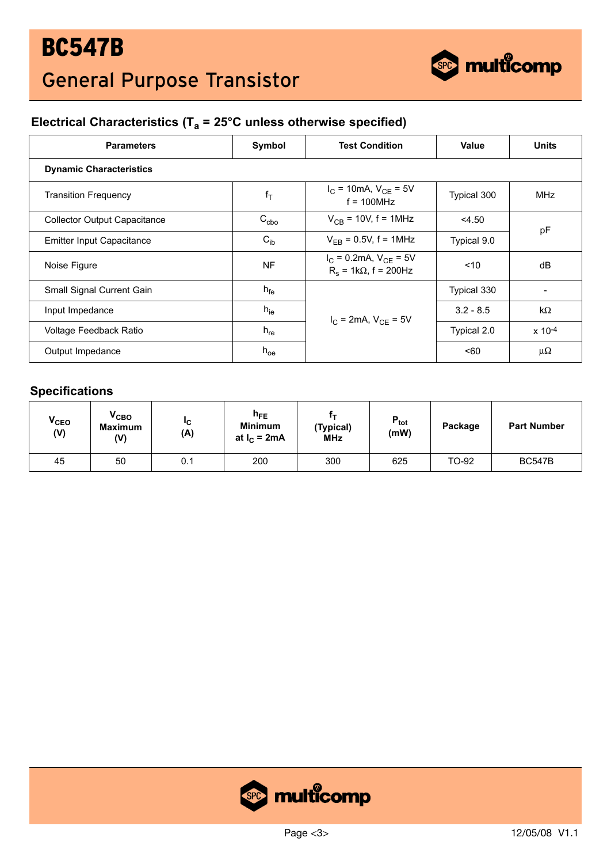

## **Electrical Characteristics (Ta = 25°C unless otherwise specified)**

| <b>Parameters</b>                   | Symbol    | <b>Test Condition</b>                                              | <b>Value</b> | Units       |  |  |  |
|-------------------------------------|-----------|--------------------------------------------------------------------|--------------|-------------|--|--|--|
| <b>Dynamic Characteristics</b>      |           |                                                                    |              |             |  |  |  |
| <b>Transition Frequency</b>         | $f_T$     | $I_{C}$ = 10mA, $V_{CF}$ = 5V<br>$f = 100 MHz$                     | Typical 300  | MHz         |  |  |  |
| <b>Collector Output Capacitance</b> | $C_{cbo}$ | $V_{CB}$ = 10V, f = 1MHz                                           | < 4.50       |             |  |  |  |
| <b>Emitter Input Capacitance</b>    | $C_{ib}$  | $V_{FB} = 0.5V$ , f = 1MHz                                         | Typical 9.0  | pF          |  |  |  |
| Noise Figure                        | <b>NF</b> | $I_C = 0.2 \text{mA}, V_{CE} = 5V$<br>$R_s = 1k\Omega$ , f = 200Hz | ~10          | dB          |  |  |  |
| Small Signal Current Gain           | $h_{fe}$  |                                                                    | Typical 330  |             |  |  |  |
| Input Impedance                     | $h_{ie}$  | $I_{C}$ = 2mA, $V_{CF}$ = 5V                                       | $3.2 - 8.5$  | $k\Omega$   |  |  |  |
| Voltage Feedback Ratio              | $h_{re}$  |                                                                    | Typical 2.0  | $x 10^{-4}$ |  |  |  |
| Output Impedance                    | $h_{oe}$  |                                                                    | $60$         | μ $Ω$       |  |  |  |

### **Specifications**

| $V_{\text{CEO}}$<br>(V) | V <sub>CBO</sub><br><b>Maximum</b><br>(V) | ıс<br>(A) | $n_{FE}$<br><b>Minimum</b><br>at $I_C = 2mA$ | (Typical)<br><b>MHz</b> | $P_{\text{tot}}$<br>(mW) | Package | <b>Part Number</b> |
|-------------------------|-------------------------------------------|-----------|----------------------------------------------|-------------------------|--------------------------|---------|--------------------|
| 45                      | 50                                        | 0.1       | 200                                          | 300                     | 625                      | TO-92   | <b>BC547B</b>      |